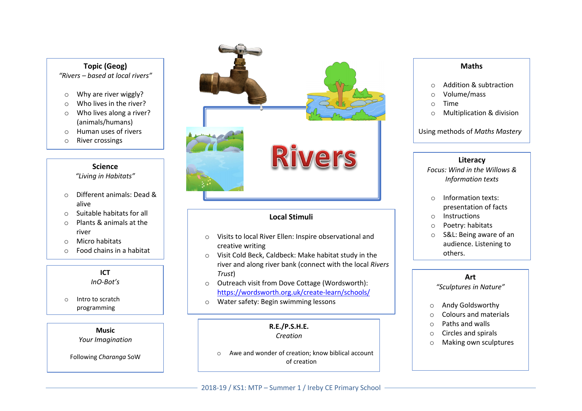#### **Topic (Geog)** *"Rivers – based at local rivers"*

- o Why are river wiggly?
- o Who lives in the river?
- o Who lives along a river? (animals/humans)
- o Human uses of rivers
- o River crossings

#### **Science**

*"Living in Habitats"*

- o Different animals: Dead & alive
- o Suitable habitats for all
- o Plants & animals at the river
- o Micro habitats
- o Food chains in a habitat

# **ICT**

*InO-Bot's*

o Intro to scratch programming

**Music**

*Your Imagination*

Following *Charanga* SoW



# **Local Stimuli**

- o Visits to local River Ellen: Inspire observational and creative writing
- o Visit Cold Beck, Caldbeck: Make habitat study in the river and along river bank (connect with the local *Rivers Trust*)
- o Outreach visit from Dove Cottage (Wordsworth): https://wordsworth.org.uk/create-learn/schools/
- o Water safety: Begin swimming lessons

#### **R.E./P.S.H.E.** *Creation*

o Awe and wonder of creation; know biblical account of creation

## **Maths**

- o Addition & subtraction
- o Volume/mass
- o Time
- o Multiplication & division

Using methods of *Maths Mastery*

#### **Literacy**

*Focus: Wind in the Willows & Information texts*

- o Information texts: presentation of facts
- o Instructions
- o Poetry: habitats
- o S&L: Being aware of an audience. Listening to others.

# **Art**

*"Sculptures in Nature"*

- o Andy Goldsworthy
- o Colours and materials
- o Paths and walls
- o Circles and spirals
- o Making own sculptures